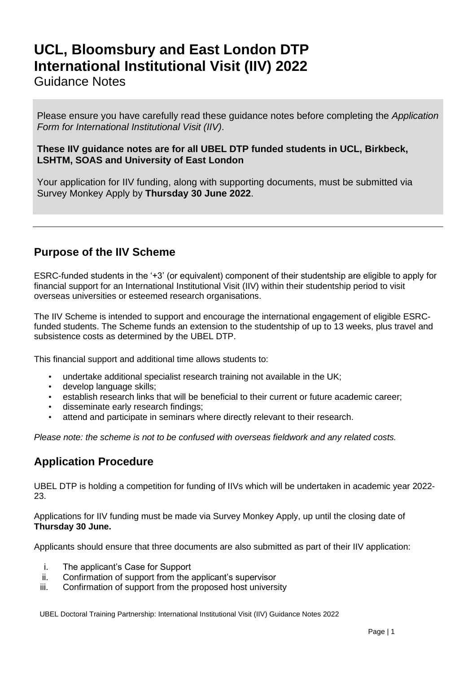# **UCL, Bloomsbury and East London DTP International Institutional Visit (IIV) 2022**

#### Guidance Notes

Please ensure you have carefully read these guidance notes before completing the *Application Form for International Institutional Visit (IIV)*.

#### **These IIV guidance notes are for all UBEL DTP funded students in UCL, Birkbeck, LSHTM, SOAS and University of East London**

Your application for IIV funding, along with supporting documents, must be submitted via Survey Monkey Apply by **Thursday 30 June 2022**.

## **Purpose of the IIV Scheme**

ESRC-funded students in the '+3' (or equivalent) component of their studentship are eligible to apply for financial support for an International Institutional Visit (IIV) within their studentship period to visit overseas universities or esteemed research organisations.

The IIV Scheme is intended to support and encourage the international engagement of eligible ESRCfunded students. The Scheme funds an extension to the studentship of up to 13 weeks, plus travel and subsistence costs as determined by the UBEL DTP.

This financial support and additional time allows students to:

- undertake additional specialist research training not available in the UK;
- develop language skills;
- establish research links that will be beneficial to their current or future academic career;
- disseminate early research findings;
- attend and participate in seminars where directly relevant to their research.

*Please note: the scheme is not to be confused with overseas fieldwork and any related costs.* 

#### **Application Procedure**

UBEL DTP is holding a competition for funding of IIVs which will be undertaken in academic year 2022- 23.

Applications for IIV funding must be made via Survey Monkey Apply, up until the closing date of **Thursday 30 June.**

Applicants should ensure that three documents are also submitted as part of their IIV application:

- i. The applicant's Case for Support
- ii. Confirmation of support from the applicant's supervisor
- iii. Confirmation of support from the proposed host university

UBEL Doctoral Training Partnership: International Institutional Visit (IIV) Guidance Notes 2022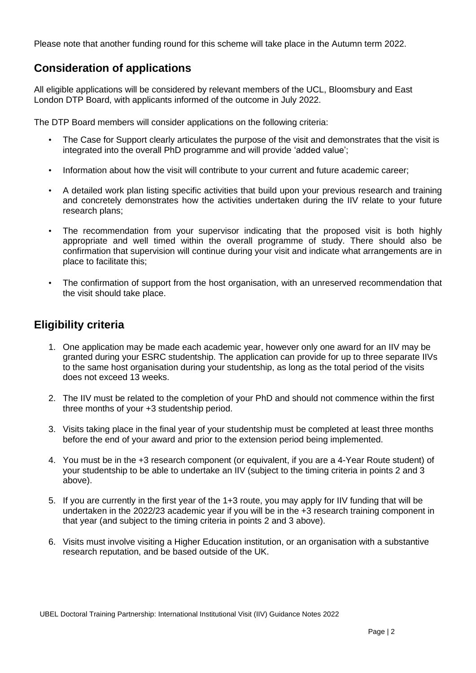Please note that another funding round for this scheme will take place in the Autumn term 2022.

## **Consideration of applications**

All eligible applications will be considered by relevant members of the UCL, Bloomsbury and East London DTP Board, with applicants informed of the outcome in July 2022.

The DTP Board members will consider applications on the following criteria:

- The Case for Support clearly articulates the purpose of the visit and demonstrates that the visit is integrated into the overall PhD programme and will provide 'added value';
- Information about how the visit will contribute to your current and future academic career;
- A detailed work plan listing specific activities that build upon your previous research and training and concretely demonstrates how the activities undertaken during the IIV relate to your future research plans;
- The recommendation from your supervisor indicating that the proposed visit is both highly appropriate and well timed within the overall programme of study. There should also be confirmation that supervision will continue during your visit and indicate what arrangements are in place to facilitate this;
- The confirmation of support from the host organisation, with an unreserved recommendation that the visit should take place.

## **Eligibility criteria**

- 1. One application may be made each academic year, however only one award for an IIV may be granted during your ESRC studentship. The application can provide for up to three separate IIVs to the same host organisation during your studentship, as long as the total period of the visits does not exceed 13 weeks.
- 2. The IIV must be related to the completion of your PhD and should not commence within the first three months of your +3 studentship period.
- 3. Visits taking place in the final year of your studentship must be completed at least three months before the end of your award and prior to the extension period being implemented.
- 4. You must be in the +3 research component (or equivalent, if you are a 4-Year Route student) of your studentship to be able to undertake an IIV (subject to the timing criteria in points 2 and 3 above).
- 5. If you are currently in the first year of the 1+3 route, you may apply for IIV funding that will be undertaken in the 2022/23 academic year if you will be in the +3 research training component in that year (and subject to the timing criteria in points 2 and 3 above).
- 6. Visits must involve visiting a Higher Education institution, or an organisation with a substantive research reputation, and be based outside of the UK.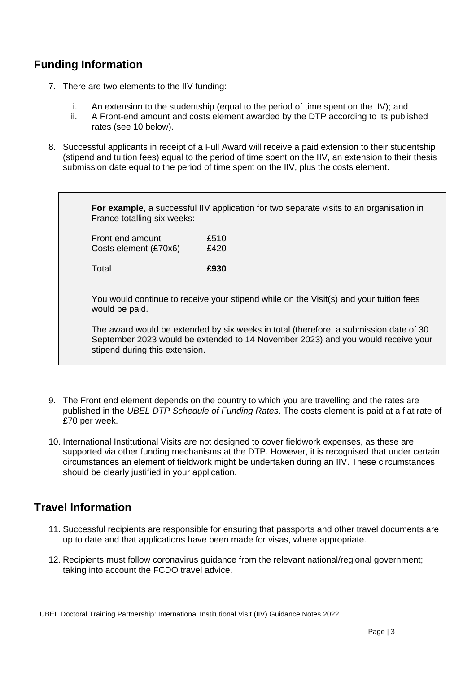## **Funding Information**

7. There are two elements to the IIV funding:

Total **£930**

- i. An extension to the studentship (equal to the period of time spent on the IIV); and
- ii. A Front-end amount and costs element awarded by the DTP according to its published rates (see 10 below).
- 8. Successful applicants in receipt of a Full Award will receive a paid extension to their studentship (stipend and tuition fees) equal to the period of time spent on the IIV, an extension to their thesis submission date equal to the period of time spent on the IIV, plus the costs element.

**For example**, a successful IIV application for two separate visits to an organisation in France totalling six weeks: Front end amount F510 Costs element (£70x6) E420

You would continue to receive your stipend while on the Visit(s) and your tuition fees would be paid.

The award would be extended by six weeks in total (therefore, a submission date of 30 September 2023 would be extended to 14 November 2023) and you would receive your stipend during this extension.

- 9. The Front end element depends on the country to which you are travelling and the rates are published in the *UBEL DTP Schedule of Funding Rates*. The costs element is paid at a flat rate of £70 per week.
- 10. International Institutional Visits are not designed to cover fieldwork expenses, as these are supported via other funding mechanisms at the DTP. However, it is recognised that under certain circumstances an element of fieldwork might be undertaken during an IIV. These circumstances should be clearly justified in your application.

#### **Travel Information**

- 11. Successful recipients are responsible for ensuring that passports and other travel documents are up to date and that applications have been made for visas, where appropriate.
- 12. Recipients must follow coronavirus guidance from the relevant national/regional government; taking into account the FCDO travel advice.